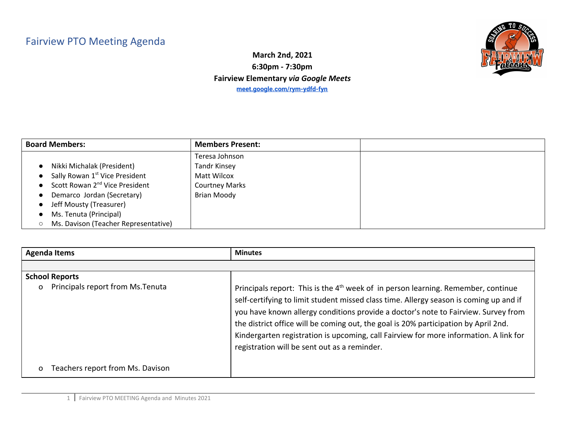## Fairview PTO Meeting Agenda



**March 2nd, 2021 6:30pm - 7:30pm Fairview Elementary** *via Google Meets* **[meet.google.com/rym-ydfd-fyn](http://meet.google.com/rym-ydfd-fyn)**

| <b>Board Members:</b>                      | <b>Members Present:</b> |  |
|--------------------------------------------|-------------------------|--|
|                                            | Teresa Johnson          |  |
| Nikki Michalak (President)                 | <b>Tandr Kinsey</b>     |  |
| Sally Rowan 1 <sup>st</sup> Vice President | Matt Wilcox             |  |
| Scott Rowan 2 <sup>nd</sup> Vice President | <b>Courtney Marks</b>   |  |
| Demarco Jordan (Secretary)                 | <b>Brian Moody</b>      |  |
| Jeff Mousty (Treasurer)                    |                         |  |
| Ms. Tenuta (Principal)                     |                         |  |
| Ms. Davison (Teacher Representative)       |                         |  |

| <b>Agenda Items</b>                           | <b>Minutes</b>                                                                                                                                                                                                                                                                                                                                                                                                                                                                                                |
|-----------------------------------------------|---------------------------------------------------------------------------------------------------------------------------------------------------------------------------------------------------------------------------------------------------------------------------------------------------------------------------------------------------------------------------------------------------------------------------------------------------------------------------------------------------------------|
|                                               |                                                                                                                                                                                                                                                                                                                                                                                                                                                                                                               |
| <b>School Reports</b>                         |                                                                                                                                                                                                                                                                                                                                                                                                                                                                                                               |
| Principals report from Ms. Tenuta<br>$\Omega$ | Principals report: This is the 4 <sup>th</sup> week of in person learning. Remember, continue<br>self-certifying to limit student missed class time. Allergy season is coming up and if<br>you have known allergy conditions provide a doctor's note to Fairview. Survey from<br>the district office will be coming out, the goal is 20% participation by April 2nd.<br>Kindergarten registration is upcoming, call Fairview for more information. A link for<br>registration will be sent out as a reminder. |
| Teachers report from Ms. Davison<br>$\Omega$  |                                                                                                                                                                                                                                                                                                                                                                                                                                                                                                               |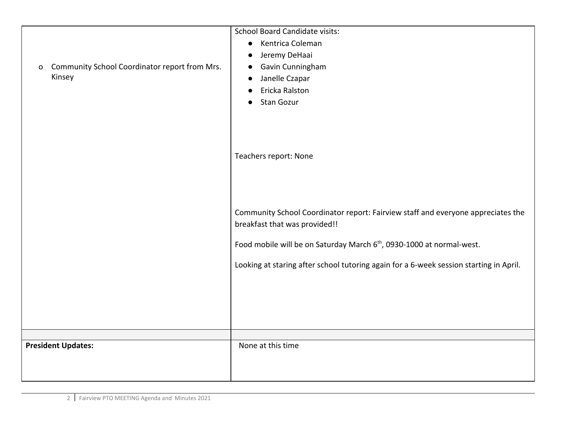| Community School Coordinator report from Mrs.<br>O<br>Kinsey | <b>School Board Candidate visits:</b><br>Kentrica Coleman<br>$\bullet$<br>Jeremy DeHaai<br>$\bullet$<br>Gavin Cunningham<br>$\bullet$<br>Janelle Czapar<br>$\bullet$<br>Ericka Ralston<br><b>Stan Gozur</b><br>$\bullet$                                                                         |
|--------------------------------------------------------------|--------------------------------------------------------------------------------------------------------------------------------------------------------------------------------------------------------------------------------------------------------------------------------------------------|
|                                                              | Teachers report: None                                                                                                                                                                                                                                                                            |
|                                                              | Community School Coordinator report: Fairview staff and everyone appreciates the<br>breakfast that was provided!!<br>Food mobile will be on Saturday March 6 <sup>th</sup> , 0930-1000 at normal-west.<br>Looking at staring after school tutoring again for a 6-week session starting in April. |
|                                                              |                                                                                                                                                                                                                                                                                                  |
| <b>President Updates:</b>                                    | None at this time                                                                                                                                                                                                                                                                                |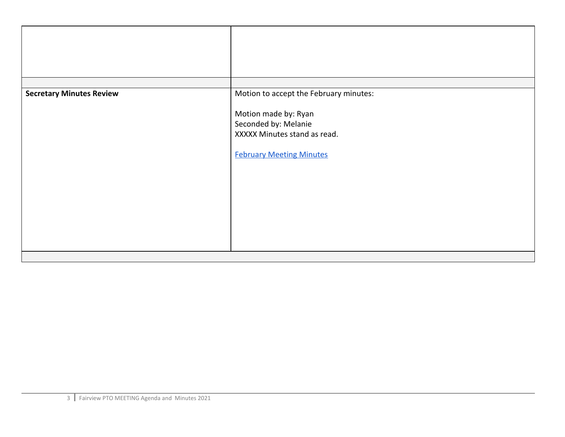| <b>Secretary Minutes Review</b> | Motion to accept the February minutes:                                                                          |
|---------------------------------|-----------------------------------------------------------------------------------------------------------------|
|                                 | Motion made by: Ryan<br>Seconded by: Melanie<br>XXXXX Minutes stand as read.<br><b>February Meeting Minutes</b> |
|                                 |                                                                                                                 |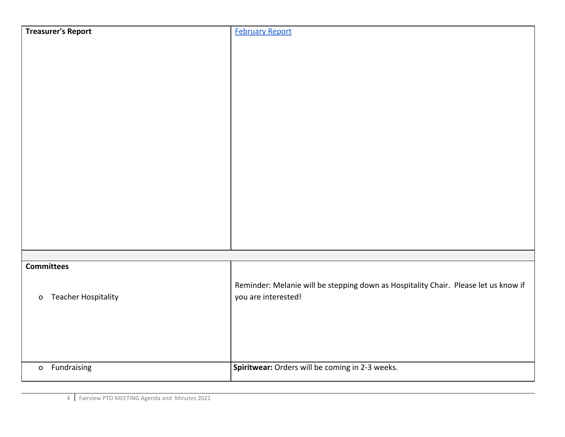| <b>Treasurer's Report</b>                    | <b>February Report</b>                                                              |
|----------------------------------------------|-------------------------------------------------------------------------------------|
|                                              |                                                                                     |
|                                              |                                                                                     |
|                                              |                                                                                     |
|                                              |                                                                                     |
|                                              |                                                                                     |
|                                              |                                                                                     |
|                                              |                                                                                     |
|                                              |                                                                                     |
|                                              |                                                                                     |
|                                              |                                                                                     |
|                                              |                                                                                     |
|                                              |                                                                                     |
|                                              |                                                                                     |
|                                              |                                                                                     |
|                                              |                                                                                     |
| <b>Committees</b>                            |                                                                                     |
|                                              | Reminder: Melanie will be stepping down as Hospitality Chair. Please let us know if |
| <b>Teacher Hospitality</b><br>$\mathsf{o}\,$ | you are interested!                                                                 |
|                                              |                                                                                     |
|                                              |                                                                                     |
|                                              |                                                                                     |
| Fundraising<br>$\mathsf{o}$                  | Spiritwear: Orders will be coming in 2-3 weeks.                                     |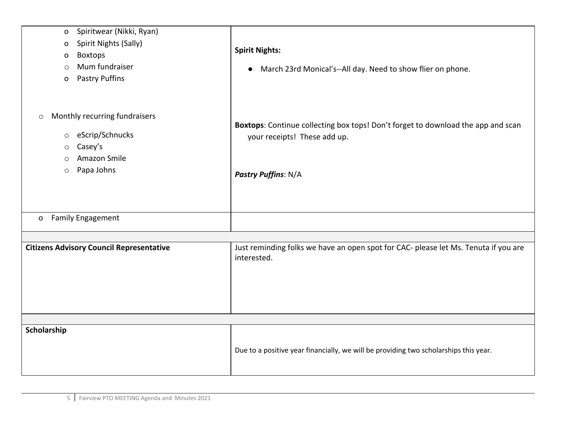| Spiritwear (Nikki, Ryan)<br>o<br>Spirit Nights (Sally)<br>0<br><b>Boxtops</b><br>0<br>Mum fundraiser<br>$\circ$<br><b>Pastry Puffins</b><br>0          | <b>Spirit Nights:</b><br>March 23rd Monical's--All day. Need to show flier on phone.<br>$\bullet$                                       |
|--------------------------------------------------------------------------------------------------------------------------------------------------------|-----------------------------------------------------------------------------------------------------------------------------------------|
| Monthly recurring fundraisers<br>$\circlearrowright$<br>eScrip/Schnucks<br>$\circ$<br>Casey's<br>$\circ$<br>Amazon Smile<br>O<br>Papa Johns<br>$\circ$ | Boxtops: Continue collecting box tops! Don't forget to download the app and scan<br>your receipts! These add up.<br>Pastry Puffins: N/A |
| <b>Family Engagement</b><br>$\mathbf{o}$                                                                                                               |                                                                                                                                         |
|                                                                                                                                                        |                                                                                                                                         |
| <b>Citizens Advisory Council Representative</b>                                                                                                        | Just reminding folks we have an open spot for CAC- please let Ms. Tenuta if you are<br>interested.                                      |
|                                                                                                                                                        |                                                                                                                                         |
| Scholarship                                                                                                                                            | Due to a positive year financially, we will be providing two scholarships this year.                                                    |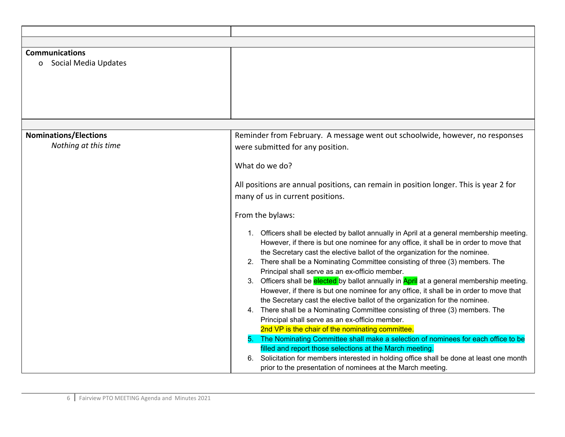| <b>Communications</b><br>Social Media Updates<br>$\mathbf{o}$ |                                                                                                                                                                                                                                                                    |
|---------------------------------------------------------------|--------------------------------------------------------------------------------------------------------------------------------------------------------------------------------------------------------------------------------------------------------------------|
|                                                               |                                                                                                                                                                                                                                                                    |
| <b>Nominations/Elections</b><br>Nothing at this time          | Reminder from February. A message went out schoolwide, however, no responses<br>were submitted for any position.                                                                                                                                                   |
|                                                               | What do we do?                                                                                                                                                                                                                                                     |
|                                                               | All positions are annual positions, can remain in position longer. This is year 2 for<br>many of us in current positions.                                                                                                                                          |
|                                                               | From the bylaws:                                                                                                                                                                                                                                                   |
|                                                               | 1. Officers shall be elected by ballot annually in April at a general membership meeting.<br>However, if there is but one nominee for any office, it shall be in order to move that<br>the Secretary cast the elective ballot of the organization for the nominee. |
|                                                               | 2. There shall be a Nominating Committee consisting of three (3) members. The<br>Principal shall serve as an ex-officio member.                                                                                                                                    |
|                                                               | 3. Officers shall be elected by ballot annually in April at a general membership meeting.<br>However, if there is but one nominee for any office, it shall be in order to move that<br>the Secretary cast the elective ballot of the organization for the nominee. |
|                                                               | 4. There shall be a Nominating Committee consisting of three (3) members. The<br>Principal shall serve as an ex-officio member.<br>2nd VP is the chair of the nominating committee.                                                                                |
|                                                               | The Nominating Committee shall make a selection of nominees for each office to be<br>filled and report those selections at the March meeting.                                                                                                                      |
|                                                               | Solicitation for members interested in holding office shall be done at least one month<br>6.<br>prior to the presentation of nominees at the March meeting.                                                                                                        |